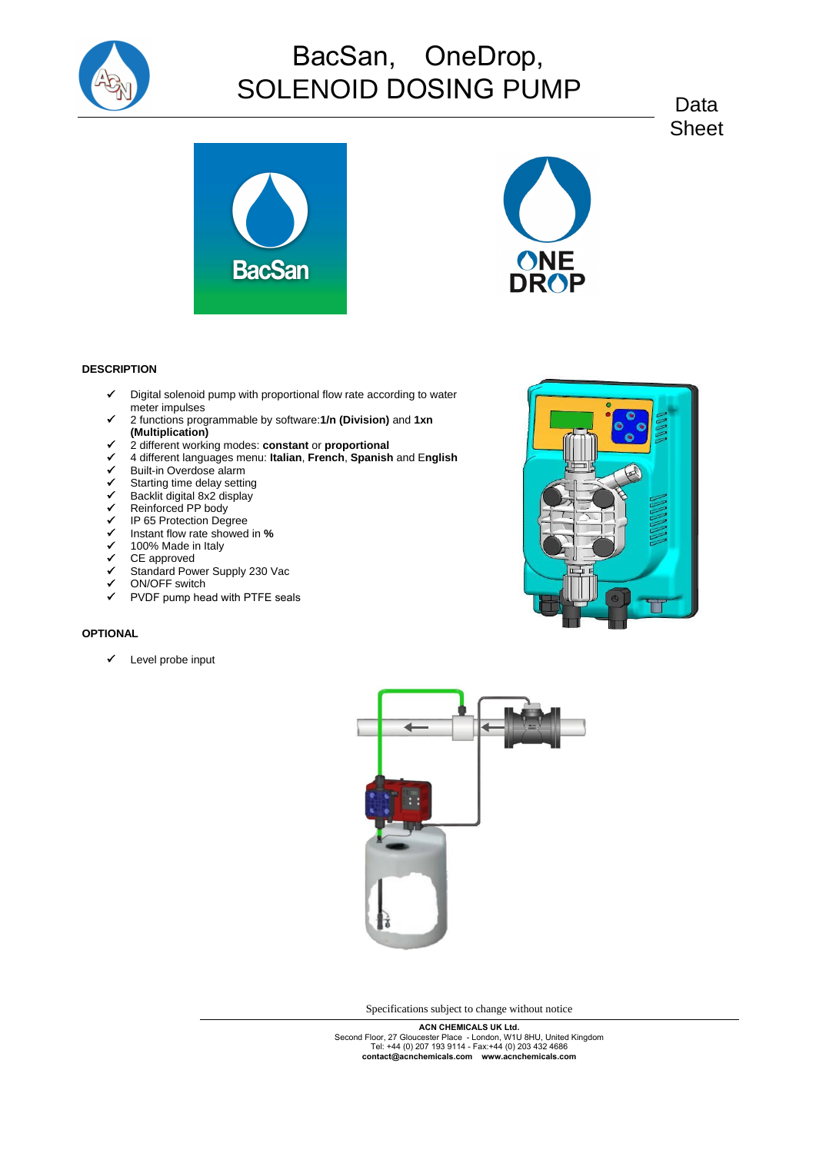

# BacSan, OneDrop, SOLENOID DOSING PUMP Data

Sheet





#### **DESCRIPTION**

- $\checkmark$  Digital solenoid pump with proportional flow rate according to water meter impulses
- 2 functions programmable by software:**1/n (Division)** and **1xn (Multiplication)**
- 2 different working modes: **constant** or **proportional**
- 4 different languages menu: **Italian**, **French**, **Spanish** and E**nglish**
- 
- ↓<br>Built-in Overdose alarm<br>Starting time delay settin<br>Backlit digital 8x2 displa<br>Reinforced PP body<br>↓<br>IP 65 Protection Degree<br>Instant flow rate showed Starting time delay setting
- Backlit digital 8x2 display
- Reinforced PP body
- IP 65 Protection Degree
- Instant flow rate showed in **%**
- $\checkmark$  100% Made in Italy<br> $\checkmark$  CE approved
- $\checkmark$  CE approved<br> $\checkmark$  Standard Pow
- $\checkmark$  Standard Power Supply 230 Vac<br> $\checkmark$  ON/OFF switch
- $\checkmark$  ON/OFF switch
- PVDF pump head with PTFE seals

#### **OPTIONAL**

 $\checkmark$  Level probe input





Specifications subject to change without notice

**ACN CHEMICALS UK Ltd.**<br>19 Second Floor, 27 Gloucester Place - London, W1U 8HU, United Kingdom<br>19 Tel: +44 (0) 207 193 9114 - Fax:+44 (0) 203 432 4686 **contact@acnchemicals.com www.acnchemicals.com**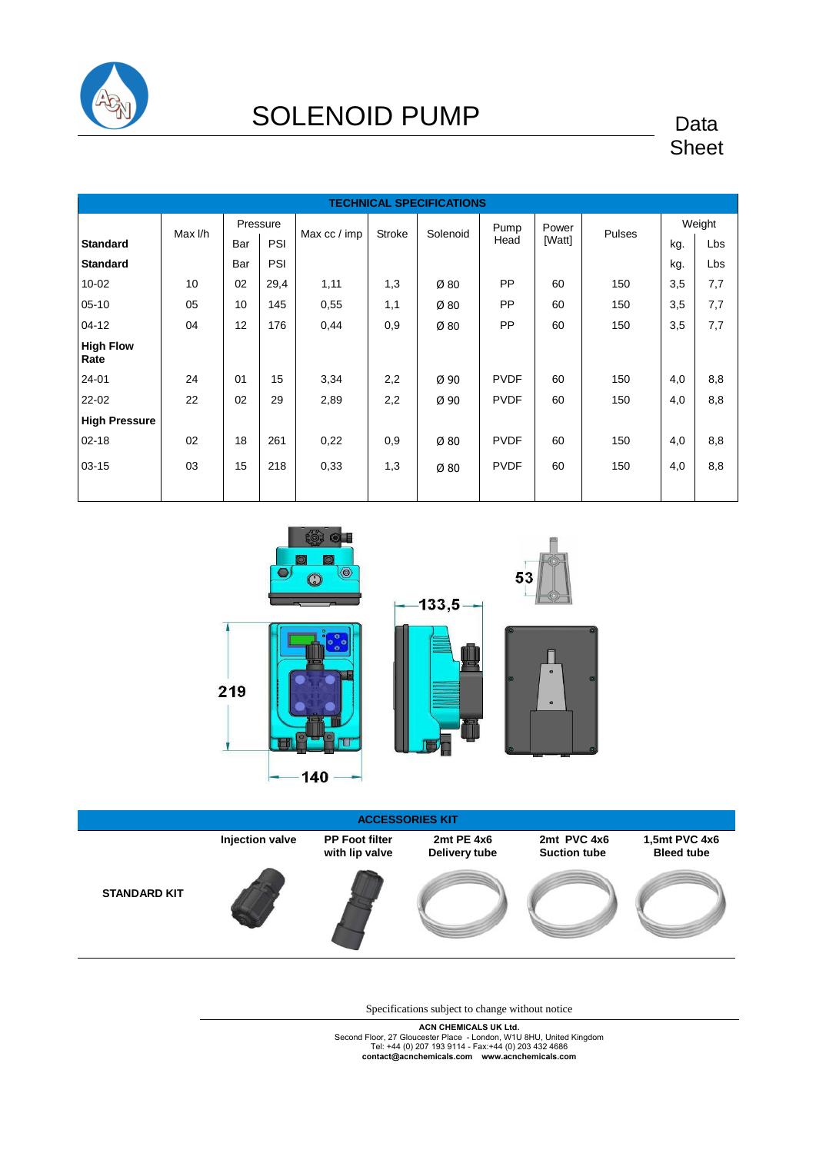

## SOLENOID PUMP Data

Sheet

| <b>TECHNICAL SPECIFICATIONS</b> |         |          |      |              |        |          |             |        |        |        |     |
|---------------------------------|---------|----------|------|--------------|--------|----------|-------------|--------|--------|--------|-----|
|                                 | Max I/h | Pressure |      |              | Stroke | Solenoid | Pump        | Power  | Pulses | Weight |     |
| <b>Standard</b>                 |         | Bar      | PSI  | Max cc / imp |        |          | Head        | [Watt] |        | kg.    | Lbs |
| <b>Standard</b>                 |         | Bar      | PSI  |              |        |          |             |        |        | kg.    | Lbs |
| $10 - 02$                       | 10      | 02       | 29,4 | 1,11         | 1,3    | Ø80      | <b>PP</b>   | 60     | 150    | 3,5    | 7,7 |
| $05 - 10$                       | 05      | 10       | 145  | 0,55         | 1,1    | Ø80      | <b>PP</b>   | 60     | 150    | 3,5    | 7,7 |
| $04 - 12$                       | 04      | 12       | 176  | 0,44         | 0,9    | Ø80      | <b>PP</b>   | 60     | 150    | 3,5    | 7,7 |
| <b>High Flow</b><br>Rate        |         |          |      |              |        |          |             |        |        |        |     |
| 24-01                           | 24      | 01       | 15   | 3,34         | 2,2    | Ø90      | <b>PVDF</b> | 60     | 150    | 4,0    | 8,8 |
| $22 - 02$                       | 22      | 02       | 29   | 2,89         | 2,2    | Ø90      | <b>PVDF</b> | 60     | 150    | 4,0    | 8,8 |
| <b>High Pressure</b>            |         |          |      |              |        |          |             |        |        |        |     |
| $02 - 18$                       | 02      | 18       | 261  | 0,22         | 0,9    | Ø80      | <b>PVDF</b> | 60     | 150    | 4,0    | 8,8 |
| $03 - 15$                       | 03      | 15       | 218  | 0,33         | 1,3    | Ø80      | <b>PVDF</b> | 60     | 150    | 4,0    | 8,8 |





Specifications subject to change without notice

**ACN CHEMICALS UK Ltd.**  Second Floor, 27 Gloucester Place - London, W1U 8HU, United Kingdom Tel: +44 (0) 207 193 9114 - Fax:+44 (0) 203 432 4686 **contact@acnchemicals.com www.acnchemicals.com**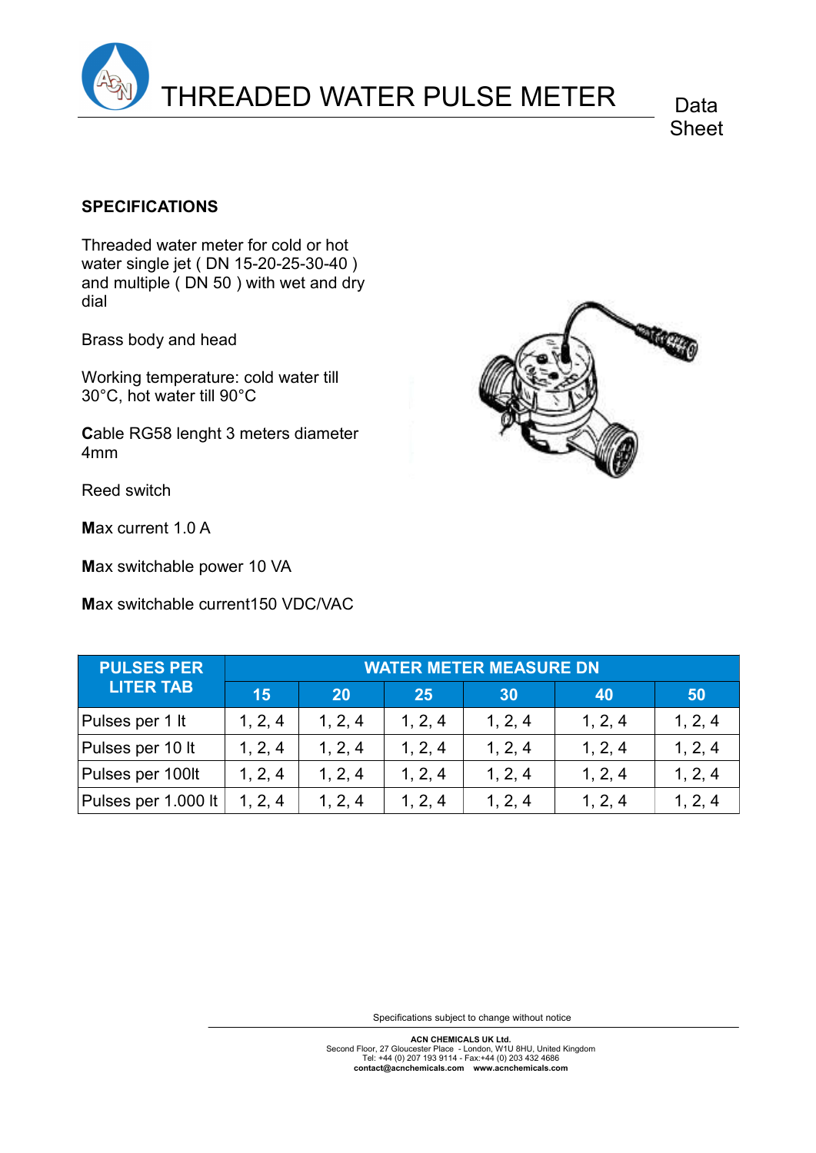

Sheet

### **SPECIFICATIONS**

Threaded water meter for cold or hot water single jet ( DN 15-20-25-30-40 ) and multiple ( DN 50 ) with wet and dry dial

Brass body and head

Working temperature: cold water till 30°C, hot water till 90°C

**C**able RG58 lenght 3 meters diameter 4mm

Reed switch

**M**ax current 1.0 A

**M**ax switchable power 10 VA

**M**ax switchable current150 VDC/VAC



| <b>PULSES PER</b>   | <b>WATER METER MEASURE DN.</b> |           |         |         |         |         |  |  |  |  |
|---------------------|--------------------------------|-----------|---------|---------|---------|---------|--|--|--|--|
| <b>LITER TAB</b>    | 15                             | <b>20</b> | 25      | 30      | 40      | 50      |  |  |  |  |
| Pulses per 1 It     | 1, 2, 4                        | 1, 2, 4   | 1, 2, 4 | 1, 2, 4 | 1, 2, 4 | 1, 2, 4 |  |  |  |  |
| Pulses per 10 lt    | 1, 2, 4                        | 1, 2, 4   | 1, 2, 4 | 1, 2, 4 | 1, 2, 4 | 1, 2, 4 |  |  |  |  |
| Pulses per 100lt    | 1, 2, 4                        | 1, 2, 4   | 1, 2, 4 | 1, 2, 4 | 1, 2, 4 | 1, 2, 4 |  |  |  |  |
| Pulses per 1.000 lt | 1, 2, 4                        | 1, 2, 4   | 1, 2, 4 | 1, 2, 4 | 1, 2, 4 | 1, 2, 4 |  |  |  |  |

Specifications subject to change without notice